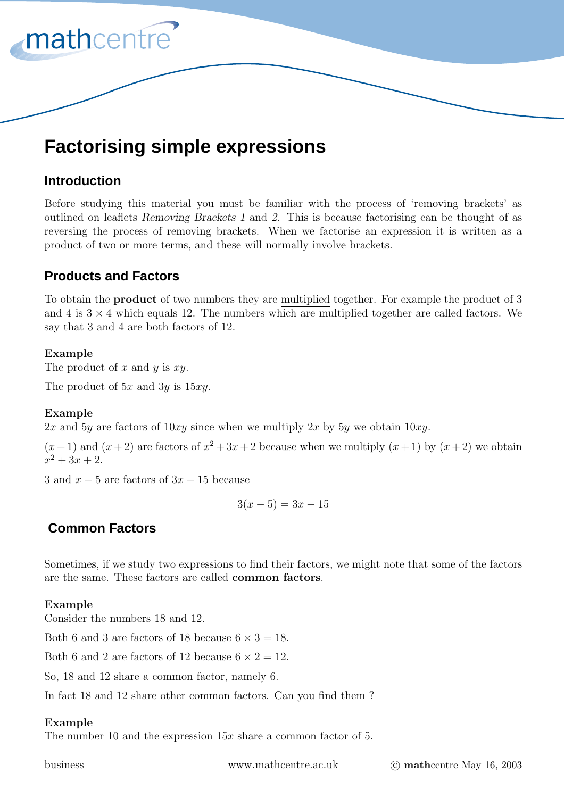

# **Factorising simple expressions**

# **Introduction**

Before studying this material you must be familiar with the process of 'removing brackets' as outlined on leaflets *Removing Brackets 1* and *2*. This is because factorising can be thought of as reversing the process of removing brackets. When we factorise an expression it is written as a product of two or more terms,and these will normally involve brackets.

# **Products and Factors**

To obtain the **product** of two numbers they are multiplied together. For example the product of 3 and 4 is  $3 \times 4$  which equals 12. The numbers which are multiplied together are called factors. We say that 3 and 4 are both factors of 12.

## **Example**

The product of  $x$  and  $y$  is  $xy$ .

The product of  $5x$  and  $3y$  is  $15xy$ .

## **Example**

2x and 5y are factors of  $10xy$  since when we multiply 2x by 5y we obtain  $10xy$ .

 $(x+1)$  and  $(x+2)$  are factors of  $x^2+3x+2$  because when we multiply  $(x+1)$  by  $(x+2)$  we obtain  $x^2 + 3x + 2$ .

3 and  $x-5$  are factors of  $3x-15$  because

$$
3(x-5) = 3x - 15
$$

# **Common Factors**

Sometimes, if we study two expressions to find their factors, we might note that some of the factors are the same. These factors are called **common factors**.

## **Example**

Consider the numbers 18 and 12.

Both 6 and 3 are factors of 18 because  $6 \times 3 = 18$ .

Both 6 and 2 are factors of 12 because  $6 \times 2 = 12$ .

So, 18 and 12 share a common factor, namely 6.

In fact 18 and 12 share other common factors. Can you find them ?

## **Example**

The number 10 and the expression  $15x$  share a common factor of 5.